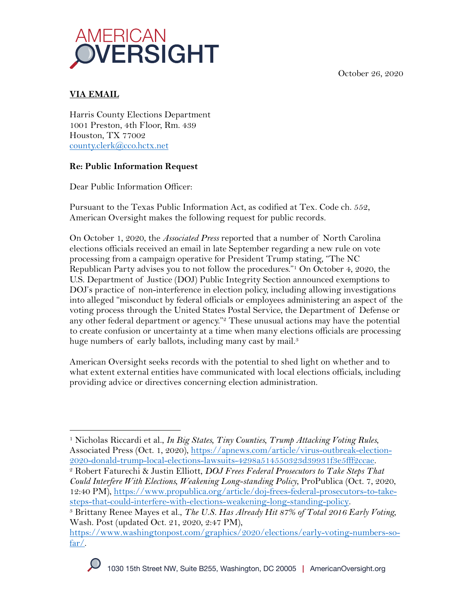October 26, 2020



# **VIA EMAIL**

Harris County Elections Department 1001 Preston, 4th Floor, Rm. 439 Houston, TX 77002 county.clerk@cco.hctx.net

## **Re: Public Information Request**

Dear Public Information Officer:

Pursuant to the Texas Public Information Act, as codified at Tex. Code ch. 552, American Oversight makes the following request for public records.

On October 1, 2020, the *Associated Press* reported that a number of North Carolina elections officials received an email in late September regarding a new rule on vote processing from a campaign operative for President Trump stating, "The NC Republican Party advises you to not follow the procedures."1 On October 4, 2020, the U.S. Department of Justice (DOJ) Public Integrity Section announced exemptions to DOJ's practice of non-interference in election policy, including allowing investigations into alleged "misconduct by federal officials or employees administering an aspect of the voting process through the United States Postal Service, the Department of Defense or any other federal department or agency."<sup>2</sup> These unusual actions may have the potential to create confusion or uncertainty at a time when many elections officials are processing huge numbers of early ballots, including many cast by mail.<sup>3</sup>

American Oversight seeks records with the potential to shed light on whether and to what extent external entities have communicated with local elections officials, including providing advice or directives concerning election administration.

<sup>2</sup> Robert Faturechi & Justin Elliott, *DOJ Frees Federal Prosecutors to Take Steps That Could Interfere With Elections, Weakening Long-standing Policy*, ProPublica (Oct. 7, 2020, 12:40 PM), https://www.propublica.org/article/doj-frees-federal-prosecutors-to-takesteps-that-could-interfere-with-elections-weakening-long-standing-policy.

<sup>3</sup> Brittany Renee Mayes et al., *The U.S. Has Already Hit 87% of Total 2016 Early Voting,*  Wash. Post (updated Oct. 21, 2020, 2:47 PM),

https://www.washingtonpost.com/graphics/2020/elections/early-voting-numbers-sofar/.



<sup>1</sup> Nicholas Riccardi et al., *In Big States, Tiny Counties, Trump Attacking Voting Rules*, Associated Press (Oct. 1, 2020), https://apnews.com/article/virus-outbreak-election-2020-donald-trump-local-elections-lawsuits-4298a514550323d39931f3e5fff2ccae.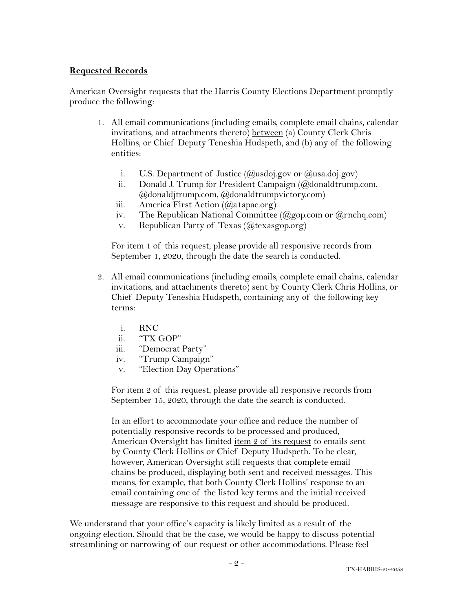#### **Requested Records**

American Oversight requests that the Harris County Elections Department promptly produce the following:

- 1. All email communications (including emails, complete email chains, calendar invitations, and attachments thereto) between (a) County Clerk Chris Hollins, or Chief Deputy Teneshia Hudspeth, and (b) any of the following entities:
	- i. U.S. Department of Justice  $(Qus \text{doi.gov or } (Qus \text{a.oj.gov})$
	- ii. Donald J. Trump for President Campaign (@donaldtrump.com, @donaldjtrump.com, @donaldtrumpvictory.com)
	- iii. America First Action (@a1apac.org)
	- iv. The Republican National Committee  $(Qgop.com or Qrnchq.com)$
	- v. Republican Party of Texas  $(Q$ texasgop.org)

For item 1 of this request, please provide all responsive records from September 1, 2020, through the date the search is conducted.

- 2. All email communications (including emails, complete email chains, calendar invitations, and attachments thereto) sent by County Clerk Chris Hollins, or Chief Deputy Teneshia Hudspeth, containing any of the following key terms:
	- i. RNC
	- ii. "TX GOP"
	- iii. "Democrat Party"
	- iv. "Trump Campaign"
	- v. "Election Day Operations"

For item 2 of this request, please provide all responsive records from September 15, 2020, through the date the search is conducted.

In an effort to accommodate your office and reduce the number of potentially responsive records to be processed and produced, American Oversight has limited item 2 of its request to emails sent by County Clerk Hollins or Chief Deputy Hudspeth. To be clear, however, American Oversight still requests that complete email chains be produced, displaying both sent and received messages. This means, for example, that both County Clerk Hollins' response to an email containing one of the listed key terms and the initial received message are responsive to this request and should be produced.

We understand that your office's capacity is likely limited as a result of the ongoing election. Should that be the case, we would be happy to discuss potential streamlining or narrowing of our request or other accommodations. Please feel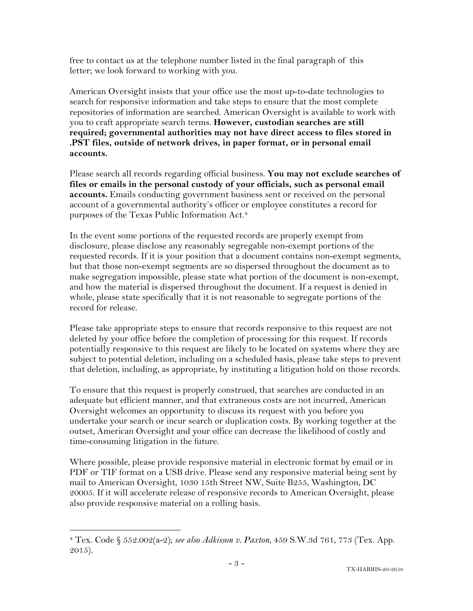free to contact us at the telephone number listed in the final paragraph of this letter; we look forward to working with you.

American Oversight insists that your office use the most up-to-date technologies to search for responsive information and take steps to ensure that the most complete repositories of information are searched. American Oversight is available to work with you to craft appropriate search terms. **However, custodian searches are still required; governmental authorities may not have direct access to files stored in .PST files, outside of network drives, in paper format, or in personal email accounts.**

Please search all records regarding official business. **You may not exclude searches of files or emails in the personal custody of your officials, such as personal email accounts.** Emails conducting government business sent or received on the personal account of a governmental authority's officer or employee constitutes a record for purposes of the Texas Public Information Act.4

In the event some portions of the requested records are properly exempt from disclosure, please disclose any reasonably segregable non-exempt portions of the requested records. If it is your position that a document contains non-exempt segments, but that those non-exempt segments are so dispersed throughout the document as to make segregation impossible, please state what portion of the document is non-exempt, and how the material is dispersed throughout the document. If a request is denied in whole, please state specifically that it is not reasonable to segregate portions of the record for release.

Please take appropriate steps to ensure that records responsive to this request are not deleted by your office before the completion of processing for this request. If records potentially responsive to this request are likely to be located on systems where they are subject to potential deletion, including on a scheduled basis, please take steps to prevent that deletion, including, as appropriate, by instituting a litigation hold on those records.

To ensure that this request is properly construed, that searches are conducted in an adequate but efficient manner, and that extraneous costs are not incurred, American Oversight welcomes an opportunity to discuss its request with you before you undertake your search or incur search or duplication costs. By working together at the outset, American Oversight and your office can decrease the likelihood of costly and time-consuming litigation in the future.

Where possible, please provide responsive material in electronic format by email or in PDF or TIF format on a USB drive. Please send any responsive material being sent by mail to American Oversight, 1030 15th Street NW, Suite B255, Washington, DC 20005. If it will accelerate release of responsive records to American Oversight, please also provide responsive material on a rolling basis.

<sup>4</sup> Tex. Code § 552.002(a-2); *see also Adkisson v. Paxton*, 459 S.W.3d 761, 773 (Tex. App. 2015).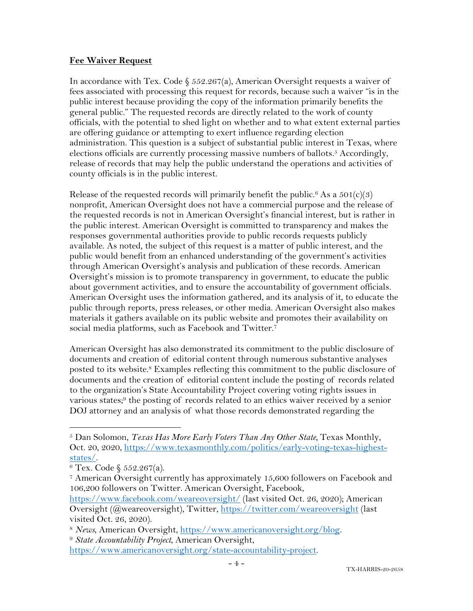### **Fee Waiver Request**

In accordance with Tex. Code § 552.267(a), American Oversight requests a waiver of fees associated with processing this request for records, because such a waiver "is in the public interest because providing the copy of the information primarily benefits the general public." The requested records are directly related to the work of county officials, with the potential to shed light on whether and to what extent external parties are offering guidance or attempting to exert influence regarding election administration. This question is a subject of substantial public interest in Texas, where elections officials are currently processing massive numbers of ballots.<sup>5</sup> Accordingly, release of records that may help the public understand the operations and activities of county officials is in the public interest.

Release of the requested records will primarily benefit the public.<sup>6</sup> As a  $501(c)(3)$ nonprofit, American Oversight does not have a commercial purpose and the release of the requested records is not in American Oversight's financial interest, but is rather in the public interest. American Oversight is committed to transparency and makes the responses governmental authorities provide to public records requests publicly available. As noted, the subject of this request is a matter of public interest, and the public would benefit from an enhanced understanding of the government's activities through American Oversight's analysis and publication of these records. American Oversight's mission is to promote transparency in government, to educate the public about government activities, and to ensure the accountability of government officials. American Oversight uses the information gathered, and its analysis of it, to educate the public through reports, press releases, or other media. American Oversight also makes materials it gathers available on its public website and promotes their availability on social media platforms, such as Facebook and Twitter.7

American Oversight has also demonstrated its commitment to the public disclosure of documents and creation of editorial content through numerous substantive analyses posted to its website.8 Examples reflecting this commitment to the public disclosure of documents and the creation of editorial content include the posting of records related to the organization's State Accountability Project covering voting rights issues in various states;9 the posting of records related to an ethics waiver received by a senior DOJ attorney and an analysis of what those records demonstrated regarding the

<sup>5</sup> Dan Solomon, *Texas Has More Early Voters Than Any Other State,* Texas Monthly, Oct. 20, 2020, https://www.texasmonthly.com/politics/early-voting-texas-highest- $\frac{\text{states}}{6}$ .<br><sup>6</sup> Tex. Code § 552.267(a).

<sup>7</sup> American Oversight currently has approximately 15,600 followers on Facebook and 106,200 followers on Twitter. American Oversight, Facebook,

https://www.facebook.com/weareoversight/ (last visited Oct. 26, 2020); American Oversight (@weareoversight), Twitter, https://twitter.com/weareoversight (last visited Oct. 26, 2020).

<sup>8</sup> *News*, American Oversight, https://www.americanoversight.org/blog. 9 *State Accountability Project*, American Oversight,

https://www.americanoversight.org/state-accountability-project.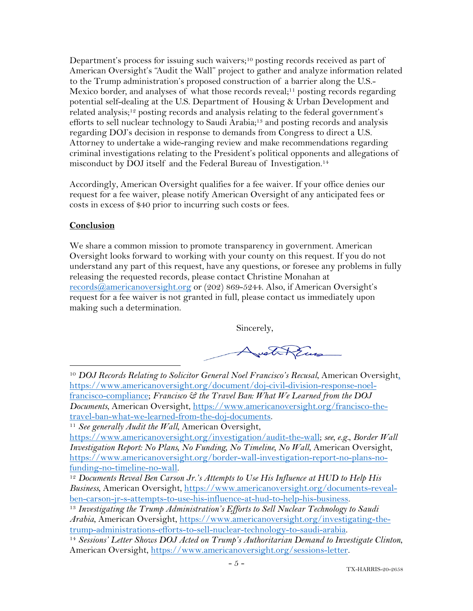Department's process for issuing such waivers;10 posting records received as part of American Oversight's "Audit the Wall" project to gather and analyze information related to the Trump administration's proposed construction of a barrier along the U.S.- Mexico border, and analyses of what those records reveal;<sup>11</sup> posting records regarding potential self-dealing at the U.S. Department of Housing & Urban Development and related analysis;12 posting records and analysis relating to the federal government's efforts to sell nuclear technology to Saudi Arabia;<sup>13</sup> and posting records and analysis regarding DOJ's decision in response to demands from Congress to direct a U.S. Attorney to undertake a wide-ranging review and make recommendations regarding criminal investigations relating to the President's political opponents and allegations of misconduct by DOJ itself and the Federal Bureau of Investigation.<sup>14</sup>

Accordingly, American Oversight qualifies for a fee waiver. If your office denies our request for a fee waiver, please notify American Oversight of any anticipated fees or costs in excess of \$40 prior to incurring such costs or fees.

## **Conclusion**

We share a common mission to promote transparency in government. American Oversight looks forward to working with your county on this request. If you do not understand any part of this request, have any questions, or foresee any problems in fully releasing the requested records, please contact Christine Monahan at records@americanoversight.org or (202) 869-5244. Also, if American Oversight's request for a fee waiver is not granted in full, please contact us immediately upon making such a determination.

Sincerely,

AustinGun

<sup>10</sup> *DOJ Records Relating to Solicitor General Noel Francisco's Recusal*, American Oversight, https://www.americanoversight.org/document/doj-civil-division-response-noelfrancisco-compliance; *Francisco & the Travel Ban: What We Learned from the DOJ Documents*, American Oversight, https://www.americanoversight.org/francisco-thetravel-ban-what-we-learned-from-the-doj-documents.

<sup>11</sup> *See generally Audit the Wall*, American Oversight,

https://www.americanoversight.org/investigation/audit-the-wall; *see, e.g.*, *Border Wall Investigation Report: No Plans, No Funding, No Timeline, No Wall*, American Oversight, https://www.americanoversight.org/border-wall-investigation-report-no-plans-no-

funding-no-timeline-no-wall. 12 *Documents Reveal Ben Carson Jr.'s Attempts to Use His Influence at HUD to Help His Business*, American Oversight, https://www.americanoversight.org/documents-revealben-carson-jr-s-attempts-to-use-his-influence-at-hud-to-help-his-business. 13 *Investigating the Trump Administration's Efforts to Sell Nuclear Technology to Saudi* 

*Arabia*, American Oversight, https://www.americanoversight.org/investigating-thetrump-administrations-efforts-to-sell-nuclear-technology-to-saudi-arabia. 14 *Sessions' Letter Shows DOJ Acted on Trump's Authoritarian Demand to Investigate Clinton*,

American Oversight, https://www.americanoversight.org/sessions-letter.